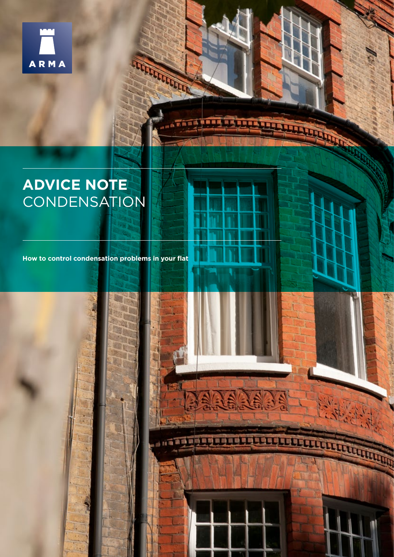

# **ADVICE NOTE CONDENSATION**

**How to control condensation problems in your flat** 

**CONTRACTOR**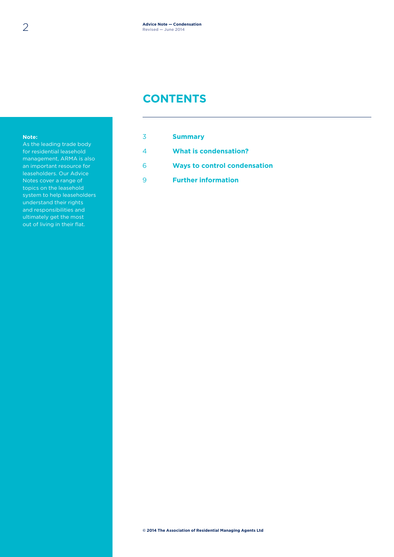### **CONTENTS**

#### **Note:**

As the leading trade body for residential leasehold management, ARMA is also an important resource for leaseholders. Our Advice Notes cover a range of topics on the leasehold system to help leaseholders understand their rights and responsibilities and ultimately get the most out of living in their flat.

|    | <b>Summary</b>                      |
|----|-------------------------------------|
|    | What is condensation?               |
| ิค | <b>Ways to control condensation</b> |
|    | <b>Further information</b>          |
|    |                                     |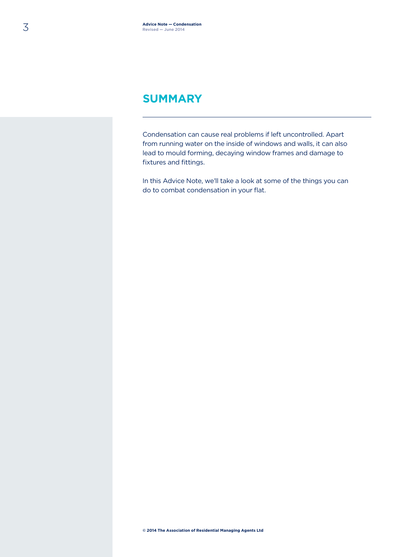### **SUMMARY**

Condensation can cause real problems if left uncontrolled. Apart from running water on the inside of windows and walls, it can also lead to mould forming, decaying window frames and damage to fixtures and fittings.

In this Advice Note, we'll take a look at some of the things you can do to combat condensation in your flat.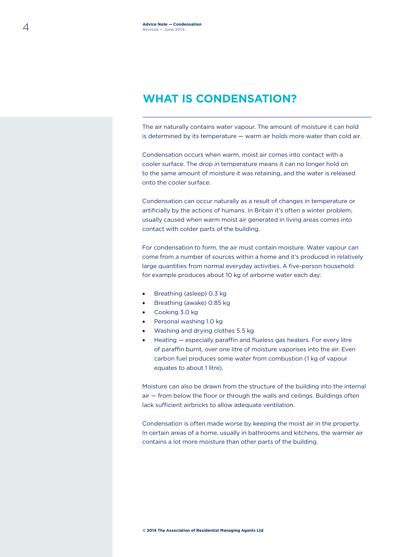## **WHAT IS CONDENSATION?**

The air naturally contains water vapour. The amount of moisture it can hold is determined by its temperature — warm air holds more water than cold air.

Condensation occurs when warm, moist air comes into contact with a cooler surface. The drop in temperature means it can no longer hold on to the same amount of moisture it was retaining, and the water is released onto the cooler surface.

Condensation can occur naturally as a result of changes in temperature or artificially by the actions of humans. In Britain it's often a winter problem, usually caused when warm moist air generated in living areas comes into contact with colder parts of the building.

For condensation to form, the air must contain moisture. Water vapour can come from a number of sources within a home and it's produced in relatively large quantities from normal everyday activities. A five-person household for example produces about 10 kg of airborne water each day:

- Breathing (asleep) 0.3 kg
- Breathing (awake) 0.85 kg
- Cooking 3.0 kg
- Personal washing 1.0 kg
- Washing and drying clothes 5.5 kg
- Heating especially paraffin and flueless gas heaters. For every litre of paraffin burnt, over one litre of moisture vaporises into the air. Even carbon fuel produces some water from combustion (1 kg of vapour equates to about 1 litre).

Moisture can also be drawn from the structure of the building into the internal air — from below the floor or through the walls and ceilings. Buildings often lack sufficient airbricks to allow adequate ventilation.

Condensation is often made worse by keeping the moist air in the property. In certain areas of a home, usually in bathrooms and kitchens, the warmer air contains a lot more moisture than other parts of the building.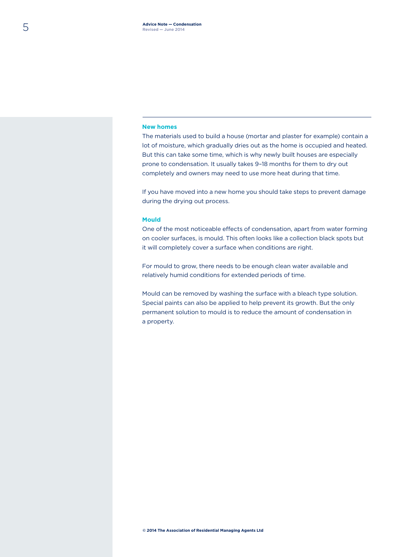### **New homes**

The materials used to build a house (mortar and plaster for example) contain a lot of moisture, which gradually dries out as the home is occupied and heated. But this can take some time, which is why newly built houses are especially prone to condensation. It usually takes 9–18 months for them to dry out completely and owners may need to use more heat during that time.

If you have moved into a new home you should take steps to prevent damage during the drying out process.

### **Mould**

One of the most noticeable effects of condensation, apart from water forming on cooler surfaces, is mould. This often looks like a collection black spots but it will completely cover a surface when conditions are right.

For mould to grow, there needs to be enough clean water available and relatively humid conditions for extended periods of time.

Mould can be removed by washing the surface with a bleach type solution. Special paints can also be applied to help prevent its growth. But the only permanent solution to mould is to reduce the amount of condensation in a property.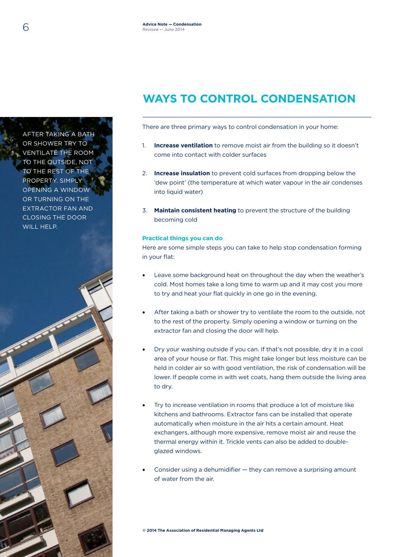# **WAYS TO CONTROL CONDENSATION**

There are three primary ways to control condensation in your home:

- 1. **Increase ventilation** to remove moist air from the building so it doesn't come into contact with colder surfaces
- 2. **Increase insulation** to prevent cold surfaces from dropping below the 'dew point' (the temperature at which water vapour in the air condenses into liquid water)
- 3. **Maintain consistent heating** to prevent the structure of the building becoming cold

### **Practical things you can do**

Here are some simple steps you can take to help stop condensation forming in your flat:

- Leave some background heat on throughout the day when the weather's cold. Most homes take a long time to warm up and it may cost you more to try and heat your flat quickly in one go in the evening.
- After taking a bath or shower try to ventilate the room to the outside, not to the rest of the property. Simply opening a window or turning on the extractor fan and closing the door will help.
- Dry your washing outside if you can. If that's not possible, dry it in a cool area of your house or flat. This might take longer but less moisture can be held in colder air so with good ventilation, the risk of condensation will be lower. If people come in with wet coats, hang them outside the living area to dry.
- Try to increase ventilation in rooms that produce a lot of moisture like kitchens and bathrooms. Extractor fans can be installed that operate automatically when moisture in the air hits a certain amount. Heat exchangers, although more expensive, remove moist air and reuse the thermal energy within it. Trickle vents can also be added to doubleglazed windows.
- Consider using a dehumidifier they can remove a surprising amount of water from the air.

**© 2014 The Association of Residential Managing Agents Ltd**

AFTER TAKING A BATH OR SHOWER TRY TO VENTILATE THE ROOM TO THE OUTSIDE, NOT TO THE REST OF THE PROPERTY. SIMPLY OPENING A WINDOW OR TURNING ON THE EXTRACTOR FAN AND CLOSING THE DOOR WILL HELP.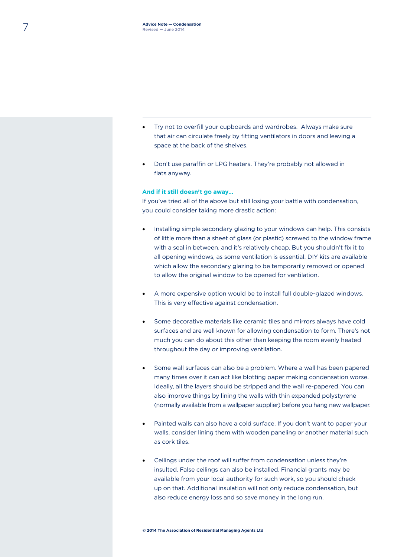- Try not to overfill your cupboards and wardrobes. Always make sure that air can circulate freely by fitting ventilators in doors and leaving a space at the back of the shelves.
- Don't use paraffin or LPG heaters. They're probably not allowed in flats anyway.

### **And if it still doesn't go away…**

If you've tried all of the above but still losing your battle with condensation, you could consider taking more drastic action:

- Installing simple secondary glazing to your windows can help. This consists of little more than a sheet of glass (or plastic) screwed to the window frame with a seal in between, and it's relatively cheap. But you shouldn't fix it to all opening windows, as some ventilation is essential. DIY kits are available which allow the secondary glazing to be temporarily removed or opened to allow the original window to be opened for ventilation.
- A more expensive option would be to install full double-glazed windows. This is very effective against condensation.
- Some decorative materials like ceramic tiles and mirrors always have cold surfaces and are well known for allowing condensation to form. There's not much you can do about this other than keeping the room evenly heated throughout the day or improving ventilation.
- Some wall surfaces can also be a problem. Where a wall has been papered many times over it can act like blotting paper making condensation worse. Ideally, all the layers should be stripped and the wall re-papered. You can also improve things by lining the walls with thin expanded polystyrene (normally available from a wallpaper supplier) before you hang new wallpaper.
- Painted walls can also have a cold surface. If you don't want to paper your walls, consider lining them with wooden paneling or another material such as cork tiles.
- Ceilings under the roof will suffer from condensation unless they're insulted. False ceilings can also be installed. Financial grants may be available from your local authority for such work, so you should check up on that. Additional insulation will not only reduce condensation, but also reduce energy loss and so save money in the long run.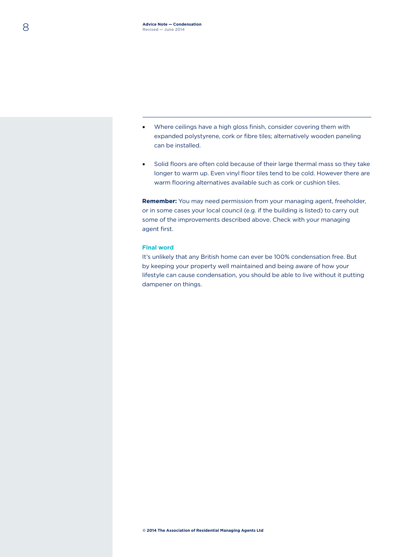- Where ceilings have a high gloss finish, consider covering them with expanded polystyrene, cork or fibre tiles; alternatively wooden paneling can be installed.
- Solid floors are often cold because of their large thermal mass so they take longer to warm up. Even vinyl floor tiles tend to be cold. However there are warm flooring alternatives available such as cork or cushion tiles.

**Remember:** You may need permission from your managing agent, freeholder, or in some cases your local council (e.g. if the building is listed) to carry out some of the improvements described above. Check with your managing agent first.

### **Final word**

It's unlikely that any British home can ever be 100% condensation free. But by keeping your property well maintained and being aware of how your lifestyle can cause condensation, you should be able to live without it putting dampener on things.